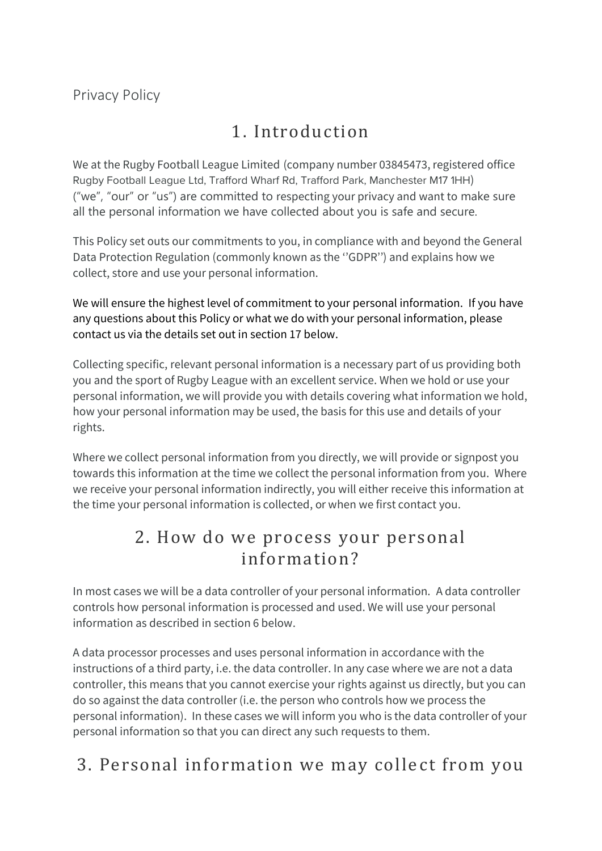## 1. Introduction

We at the Rugby Football League Limited (company number 03845473, registered office Rugby Football League Ltd, Trafford Wharf Rd, Trafford Park, Manchester M17 1HH) ("we", "our" or "us") are committed to respecting your privacy and want to make sure all the personal information we have collected about you is safe and secure.

This Policy set outs our commitments to you, in compliance with and beyond the General Data Protection Regulation (commonly known as the ''GDPR'') and explains how we collect, store and use your personal information.

We will ensure the highest level of commitment to your personal information. If you have any questions about this Policy or what we do with your personal information, please contact us via the details set out in section 17 below.

Collecting specific, relevant personal information is a necessary part of us providing both you and the sport of Rugby League with an excellent service. When we hold or use your personal information, we will provide you with details covering what information we hold, how your personal information may be used, the basis for this use and details of your rights.

Where we collect personal information from you directly, we will provide or signpost you towards this information at the time we collect the personal information from you. Where we receive your personal information indirectly, you will either receive this information at the time your personal information is collected, or when we first contact you.

#### 2. How do we process your personal information?

In most cases we will be a data controller of your personal information. A data controller controls how personal information is processed and used. We will use your personal information as described in section 6 below.

A data processor processes and uses personal information in accordance with the instructions of a third party, i.e. the data controller. In any case where we are not a data controller, this means that you cannot exercise your rights against us directly, but you can do so against the data controller (i.e. the person who controls how we process the personal information). In these cases we will inform you who is the data controller of your personal information so that you can direct any such requests to them.

## 3. Personal information we may colle ct from you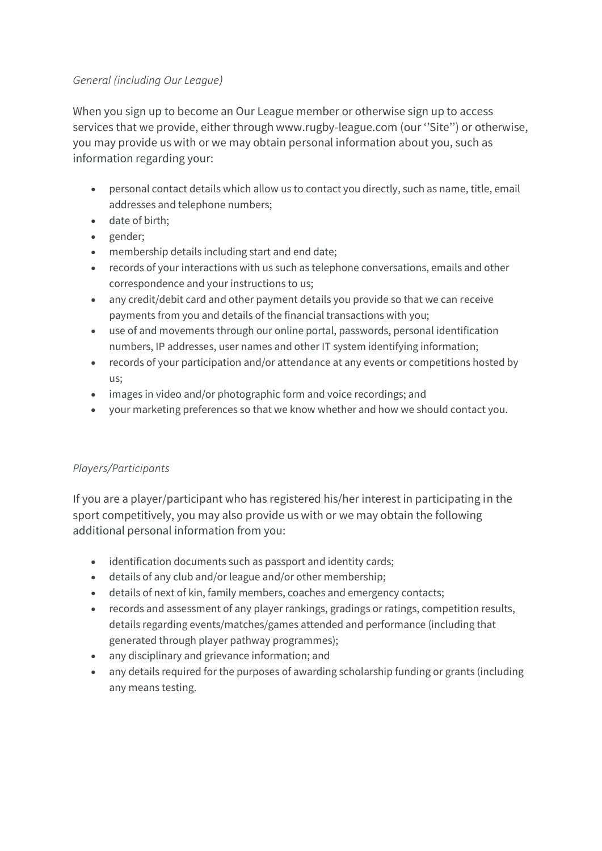#### *General (including Our League)*

When you sign up to become an Our League member or otherwise sign up to access services that we provide, either through www.rugby-league.com (our ''Site'') or otherwise, you may provide us with or we may obtain personal information about you, such as information regarding your:

- personal contact details which allow us to contact you directly, such as name, title, email addresses and telephone numbers;
- date of birth;
- gender;
- membership details including start and end date;
- records of your interactions with us such as telephone conversations, emails and other correspondence and your instructions to us;
- any credit/debit card and other payment details you provide so that we can receive payments from you and details of the financial transactions with you;
- use of and movements through our online portal, passwords, personal identification numbers, IP addresses, user names and other IT system identifying information;
- records of your participation and/or attendance at any events or competitions hosted by us;
- images in video and/or photographic form and voice recordings; and
- your marketing preferences so that we know whether and how we should contact you.

#### *Players/Participants*

If you are a player/participant who has registered his/her interest in participating in the sport competitively, you may also provide us with or we may obtain the following additional personal information from you:

- identification documents such as passport and identity cards;
- details of any club and/or league and/or other membership;
- details of next of kin, family members, coaches and emergency contacts;
- records and assessment of any player rankings, gradings or ratings, competition results, details regarding events/matches/games attended and performance (including that generated through player pathway programmes);
- any disciplinary and grievance information; and
- any details required for the purposes of awarding scholarship funding or grants (including any means testing.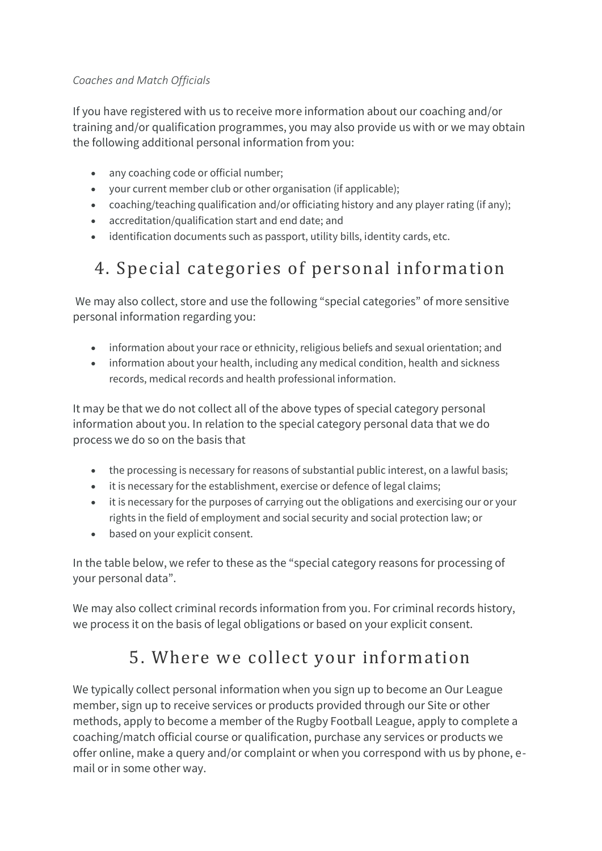#### *Coaches and Match Officials*

If you have registered with us to receive more information about our coaching and/or training and/or qualification programmes, you may also provide us with or we may obtain the following additional personal information from you:

- any coaching code or official number:
- your current member club or other organisation (if applicable);
- coaching/teaching qualification and/or officiating history and any player rating (if any);
- accreditation/qualification start and end date; and
- identification documents such as passport, utility bills, identity cards, etc.

# 4. Special categories of personal information

We may also collect, store and use the following "special categories" of more sensitive personal information regarding you:

- information about your race or ethnicity, religious beliefs and sexual orientation; and
- information about your health, including any medical condition, health and sickness records, medical records and health professional information.

It may be that we do not collect all of the above types of special category personal information about you. In relation to the special category personal data that we do process we do so on the basis that

- the processing is necessary for reasons of substantial public interest, on a lawful basis;
- it is necessary for the establishment, exercise or defence of legal claims;
- it is necessary for the purposes of carrying out the obligations and exercising our or your rights in the field of employment and social security and social protection law; or
- based on your explicit consent.

In the table below, we refer to these as the "special category reasons for processing of your personal data".

We may also collect criminal records information from you. For criminal records history, we process it on the basis of legal obligations or based on your explicit consent.

## 5. Where we collect your information

We typically collect personal information when you sign up to become an Our League member, sign up to receive services or products provided through our Site or other methods, apply to become a member of the Rugby Football League, apply to complete a coaching/match official course or qualification, purchase any services or products we offer online, make a query and/or complaint or when you correspond with us by phone, email or in some other way.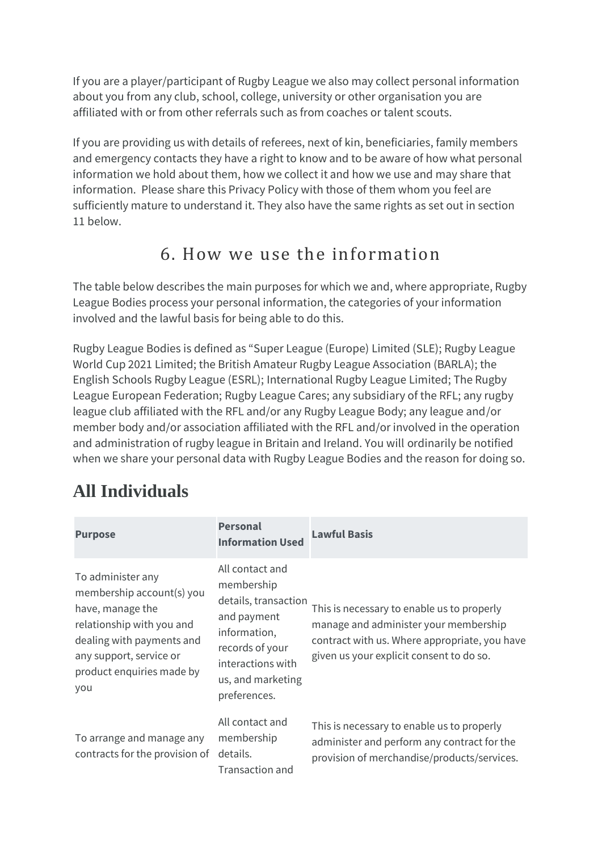If you are a player/participant of Rugby League we also may collect personal information about you from any club, school, college, university or other organisation you are affiliated with or from other referrals such as from coaches or talent scouts.

If you are providing us with details of referees, next of kin, beneficiaries, family members and emergency contacts they have a right to know and to be aware of how what personal information we hold about them, how we collect it and how we use and may share that information. Please share this Privacy Policy with those of them whom you feel are sufficiently mature to understand it. They also have the same rights as set out in section 11 below.

#### 6. How we use the information

The table below describes the main purposes for which we and, where appropriate, Rugby League Bodies process your personal information, the categories of your information involved and the lawful basis for being able to do this.

Rugby League Bodies is defined as "Super League (Europe) Limited (SLE); Rugby League World Cup 2021 Limited; the British Amateur Rugby League Association (BARLA); the English Schools Rugby League (ESRL); International Rugby League Limited; The Rugby League European Federation; Rugby League Cares; any subsidiary of the RFL; any rugby league club affiliated with the RFL and/or any Rugby League Body; any league and/or member body and/or association affiliated with the RFL and/or involved in the operation and administration of rugby league in Britain and Ireland. You will ordinarily be notified when we share your personal data with Rugby League Bodies and the reason for doing so.

# **All Individuals**

| <b>Purpose</b>                                                                                                                                                                              | <b>Personal</b><br><b>Information Used</b>                                                                                                                        | <b>Lawful Basis</b>                                                                                                                                                              |
|---------------------------------------------------------------------------------------------------------------------------------------------------------------------------------------------|-------------------------------------------------------------------------------------------------------------------------------------------------------------------|----------------------------------------------------------------------------------------------------------------------------------------------------------------------------------|
| To administer any<br>membership account(s) you<br>have, manage the<br>relationship with you and<br>dealing with payments and<br>any support, service or<br>product enquiries made by<br>you | All contact and<br>membership<br>details, transaction<br>and payment<br>information,<br>records of your<br>interactions with<br>us, and marketing<br>preferences. | This is necessary to enable us to properly<br>manage and administer your membership<br>contract with us. Where appropriate, you have<br>given us your explicit consent to do so. |
| To arrange and manage any<br>contracts for the provision of                                                                                                                                 | All contact and<br>membership<br>details.<br>Transaction and                                                                                                      | This is necessary to enable us to properly<br>administer and perform any contract for the<br>provision of merchandise/products/services.                                         |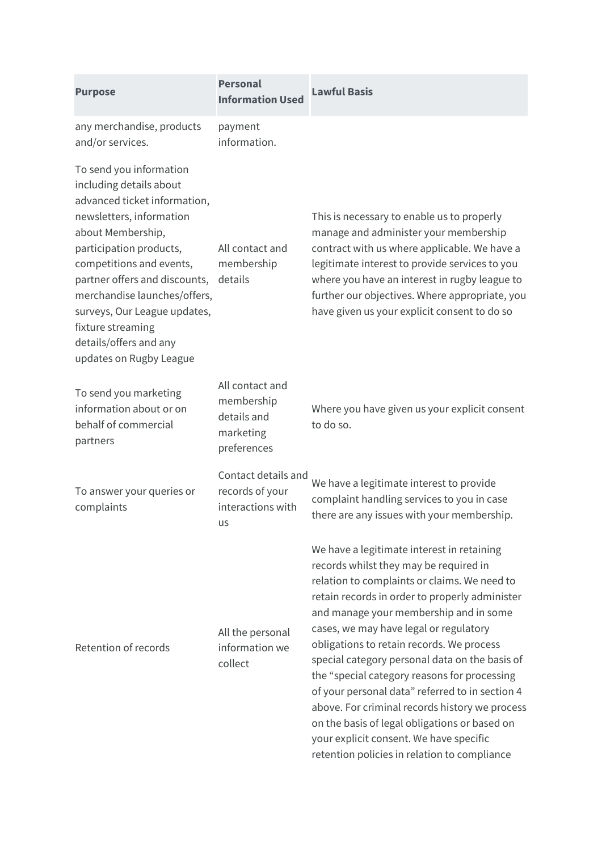| <b>Purpose</b>                                                                                                                                                                                                                                                                                                                                                        | <b>Personal</b><br><b>Information Used</b>                               | <b>Lawful Basis</b>                                                                                                                                                                                                                                                                                                                                                                                                                                                                                                                                                                                                                                                        |
|-----------------------------------------------------------------------------------------------------------------------------------------------------------------------------------------------------------------------------------------------------------------------------------------------------------------------------------------------------------------------|--------------------------------------------------------------------------|----------------------------------------------------------------------------------------------------------------------------------------------------------------------------------------------------------------------------------------------------------------------------------------------------------------------------------------------------------------------------------------------------------------------------------------------------------------------------------------------------------------------------------------------------------------------------------------------------------------------------------------------------------------------------|
| any merchandise, products<br>and/or services.                                                                                                                                                                                                                                                                                                                         | payment<br>information.                                                  |                                                                                                                                                                                                                                                                                                                                                                                                                                                                                                                                                                                                                                                                            |
| To send you information<br>including details about<br>advanced ticket information,<br>newsletters, information<br>about Membership,<br>participation products,<br>competitions and events,<br>partner offers and discounts,<br>merchandise launches/offers,<br>surveys, Our League updates,<br>fixture streaming<br>details/offers and any<br>updates on Rugby League | All contact and<br>membership<br>details                                 | This is necessary to enable us to properly<br>manage and administer your membership<br>contract with us where applicable. We have a<br>legitimate interest to provide services to you<br>where you have an interest in rugby league to<br>further our objectives. Where appropriate, you<br>have given us your explicit consent to do so                                                                                                                                                                                                                                                                                                                                   |
| To send you marketing<br>information about or on<br>behalf of commercial<br>partners                                                                                                                                                                                                                                                                                  | All contact and<br>membership<br>details and<br>marketing<br>preferences | Where you have given us your explicit consent<br>to do so.                                                                                                                                                                                                                                                                                                                                                                                                                                                                                                                                                                                                                 |
| To answer your queries or<br>complaints                                                                                                                                                                                                                                                                                                                               | Contact details and<br>records of your<br>interactions with<br>us        | We have a legitimate interest to provide<br>complaint handling services to you in case<br>there are any issues with your membership.                                                                                                                                                                                                                                                                                                                                                                                                                                                                                                                                       |
| Retention of records                                                                                                                                                                                                                                                                                                                                                  | All the personal<br>information we<br>collect                            | We have a legitimate interest in retaining<br>records whilst they may be required in<br>relation to complaints or claims. We need to<br>retain records in order to properly administer<br>and manage your membership and in some<br>cases, we may have legal or regulatory<br>obligations to retain records. We process<br>special category personal data on the basis of<br>the "special category reasons for processing<br>of your personal data" referred to in section 4<br>above. For criminal records history we process<br>on the basis of legal obligations or based on<br>your explicit consent. We have specific<br>retention policies in relation to compliance |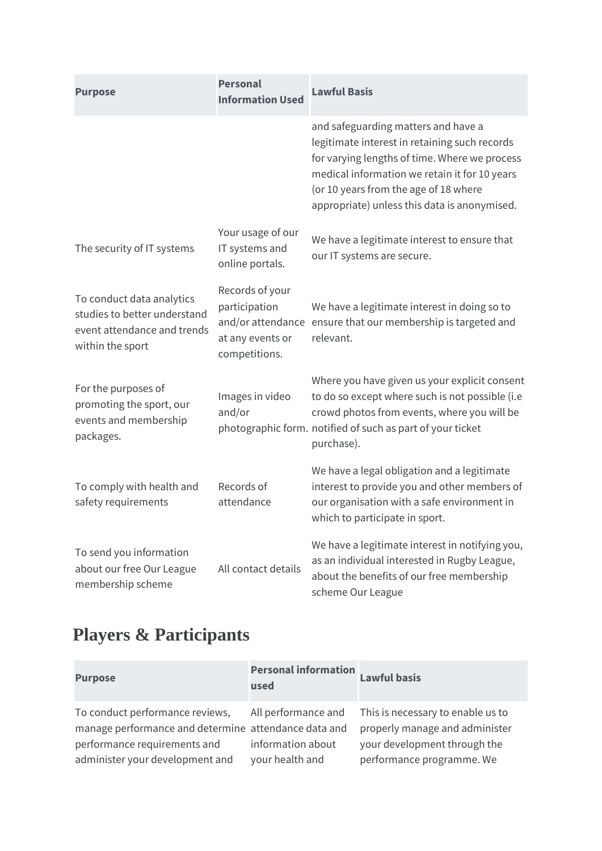| <b>Purpose</b>                                                                                               | <b>Personal</b><br><b>Information Used</b>                            | <b>Lawful Basis</b>                                                                                                                                                                                                                                                             |
|--------------------------------------------------------------------------------------------------------------|-----------------------------------------------------------------------|---------------------------------------------------------------------------------------------------------------------------------------------------------------------------------------------------------------------------------------------------------------------------------|
|                                                                                                              |                                                                       | and safeguarding matters and have a<br>legitimate interest in retaining such records<br>for varying lengths of time. Where we process<br>medical information we retain it for 10 years<br>(or 10 years from the age of 18 where<br>appropriate) unless this data is anonymised. |
| The security of IT systems                                                                                   | Your usage of our<br>IT systems and<br>online portals.                | We have a legitimate interest to ensure that<br>our IT systems are secure.                                                                                                                                                                                                      |
| To conduct data analytics<br>studies to better understand<br>event attendance and trends<br>within the sport | Records of your<br>participation<br>at any events or<br>competitions. | We have a legitimate interest in doing so to<br>and/or attendance ensure that our membership is targeted and<br>relevant.                                                                                                                                                       |
| For the purposes of<br>promoting the sport, our<br>events and membership<br>packages.                        | Images in video<br>and/or                                             | Where you have given us your explicit consent<br>to do so except where such is not possible (i.e<br>crowd photos from events, where you will be<br>photographic form. notified of such as part of your ticket<br>purchase).                                                     |
| To comply with health and<br>safety requirements                                                             | Records of<br>attendance                                              | We have a legal obligation and a legitimate<br>interest to provide you and other members of<br>our organisation with a safe environment in<br>which to participate in sport.                                                                                                    |
| To send you information<br>about our free Our League<br>membership scheme                                    | All contact details                                                   | We have a legitimate interest in notifying you,<br>as an individual interested in Rugby League,<br>about the benefits of our free membership<br>scheme Our League                                                                                                               |

# **Players & Participants**

| <b>Purpose</b>                                                                                                          | Personal information<br>Lawful basis<br>used |                                                                                             |
|-------------------------------------------------------------------------------------------------------------------------|----------------------------------------------|---------------------------------------------------------------------------------------------|
| To conduct performance reviews,                                                                                         | All performance and                          | This is necessary to enable us to                                                           |
| manage performance and determine attendance data and<br>performance requirements and<br>administer your development and | information about<br>your health and         | properly manage and administer<br>your development through the<br>performance programme. We |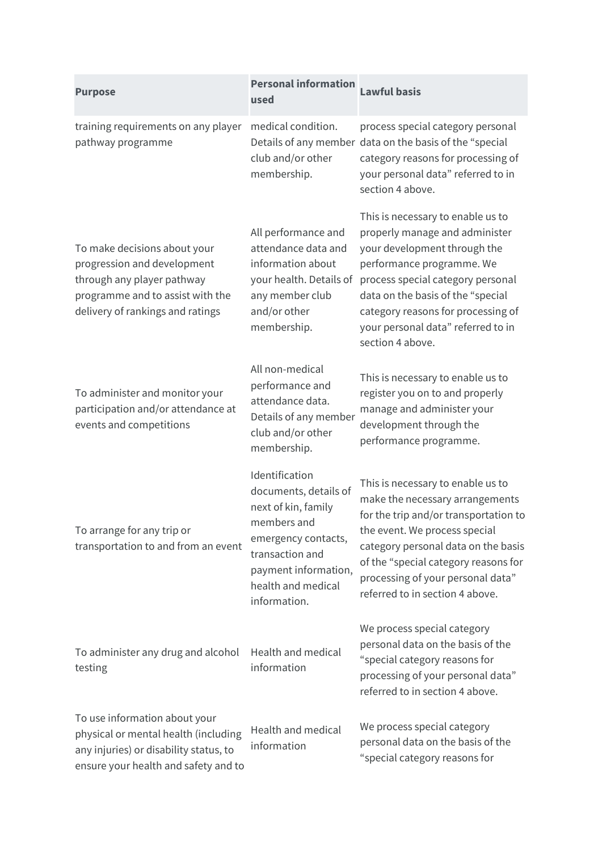| <b>Purpose</b>                                                                                                                                                    | <b>Personal information</b><br>used                                                                                                                                                   | <b>Lawful basis</b>                                                                                                                                                                                                                                                                                        |
|-------------------------------------------------------------------------------------------------------------------------------------------------------------------|---------------------------------------------------------------------------------------------------------------------------------------------------------------------------------------|------------------------------------------------------------------------------------------------------------------------------------------------------------------------------------------------------------------------------------------------------------------------------------------------------------|
| training requirements on any player<br>pathway programme                                                                                                          | medical condition.<br>club and/or other<br>membership.                                                                                                                                | process special category personal<br>Details of any member data on the basis of the "special<br>category reasons for processing of<br>your personal data" referred to in<br>section 4 above.                                                                                                               |
| To make decisions about your<br>progression and development<br>through any player pathway<br>programme and to assist with the<br>delivery of rankings and ratings | All performance and<br>attendance data and<br>information about<br>your health. Details of<br>any member club<br>and/or other<br>membership.                                          | This is necessary to enable us to<br>properly manage and administer<br>your development through the<br>performance programme. We<br>process special category personal<br>data on the basis of the "special<br>category reasons for processing of<br>your personal data" referred to in<br>section 4 above. |
| To administer and monitor your<br>participation and/or attendance at<br>events and competitions                                                                   | All non-medical<br>performance and<br>attendance data.<br>Details of any member<br>club and/or other<br>membership.                                                                   | This is necessary to enable us to<br>register you on to and properly<br>manage and administer your<br>development through the<br>performance programme.                                                                                                                                                    |
| To arrange for any trip or<br>transportation to and from an event                                                                                                 | Identification<br>documents, details of<br>next of kin, family<br>members and<br>emergency contacts,<br>transaction and<br>payment information,<br>health and medical<br>information. | This is necessary to enable us to<br>make the necessary arrangements<br>for the trip and/or transportation to<br>the event. We process special<br>category personal data on the basis<br>of the "special category reasons for<br>processing of your personal data"<br>referred to in section 4 above.      |
| To administer any drug and alcohol<br>testing                                                                                                                     | Health and medical<br>information                                                                                                                                                     | We process special category<br>personal data on the basis of the<br>"special category reasons for<br>processing of your personal data"<br>referred to in section 4 above.                                                                                                                                  |
| To use information about your<br>physical or mental health (including<br>any injuries) or disability status, to<br>ensure your health and safety and to           | Health and medical<br>information                                                                                                                                                     | We process special category<br>personal data on the basis of the<br>"special category reasons for                                                                                                                                                                                                          |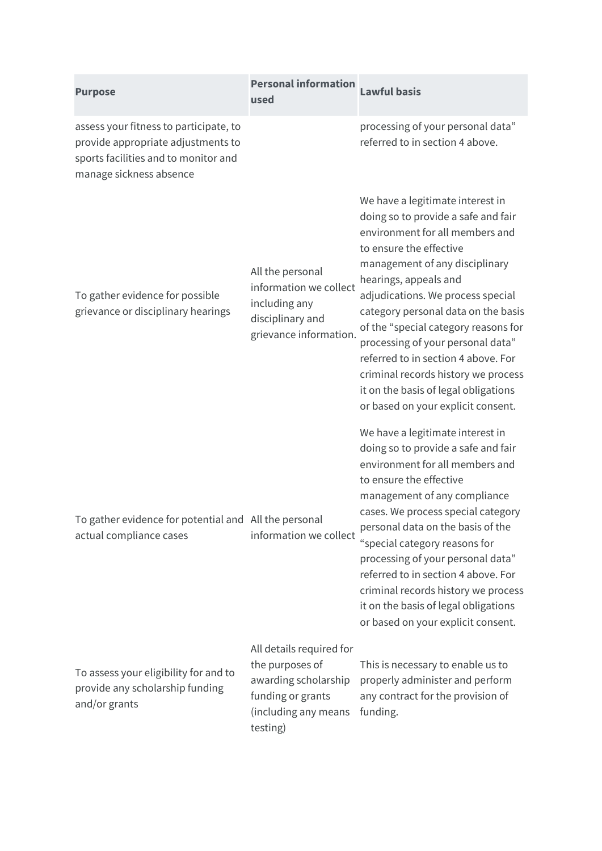| <b>Purpose</b>                                                                                                                                  | <b>Personal information</b><br>used                                                                                          | <b>Lawful basis</b>                                                                                                                                                                                                                                                                                                                                                                                                                                                                                                   |
|-------------------------------------------------------------------------------------------------------------------------------------------------|------------------------------------------------------------------------------------------------------------------------------|-----------------------------------------------------------------------------------------------------------------------------------------------------------------------------------------------------------------------------------------------------------------------------------------------------------------------------------------------------------------------------------------------------------------------------------------------------------------------------------------------------------------------|
| assess your fitness to participate, to<br>provide appropriate adjustments to<br>sports facilities and to monitor and<br>manage sickness absence |                                                                                                                              | processing of your personal data"<br>referred to in section 4 above.                                                                                                                                                                                                                                                                                                                                                                                                                                                  |
| To gather evidence for possible<br>grievance or disciplinary hearings                                                                           | All the personal<br>information we collect<br>including any<br>disciplinary and<br>grievance information.                    | We have a legitimate interest in<br>doing so to provide a safe and fair<br>environment for all members and<br>to ensure the effective<br>management of any disciplinary<br>hearings, appeals and<br>adjudications. We process special<br>category personal data on the basis<br>of the "special category reasons for<br>processing of your personal data"<br>referred to in section 4 above. For<br>criminal records history we process<br>it on the basis of legal obligations<br>or based on your explicit consent. |
| To gather evidence for potential and All the personal<br>actual compliance cases                                                                | information we collect                                                                                                       | We have a legitimate interest in<br>doing so to provide a safe and fair<br>environment for all members and<br>to ensure the effective<br>management of any compliance<br>cases. We process special category<br>personal data on the basis of the<br>"special category reasons for<br>processing of your personal data"<br>referred to in section 4 above. For<br>criminal records history we process<br>it on the basis of legal obligations<br>or based on your explicit consent.                                    |
| To assess your eligibility for and to<br>provide any scholarship funding<br>and/or grants                                                       | All details required for<br>the purposes of<br>awarding scholarship<br>funding or grants<br>(including any means<br>testing) | This is necessary to enable us to<br>properly administer and perform<br>any contract for the provision of<br>funding.                                                                                                                                                                                                                                                                                                                                                                                                 |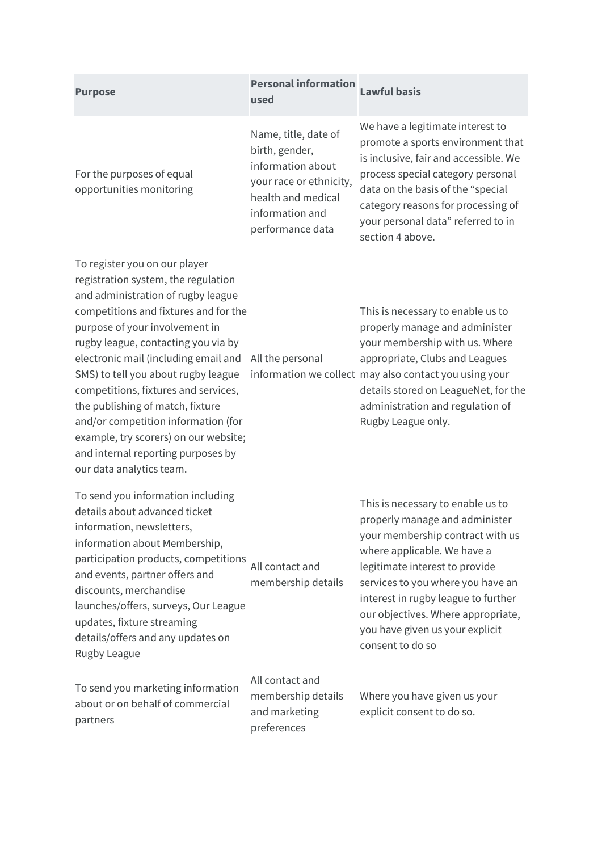| <b>Purpose</b>                                                                                                                                                                                                                                                                                                                                                                                                                                                                                                                            | <b>Personal information</b><br>used                                                                                                                 | <b>Lawful basis</b>                                                                                                                                                                                                                                                                                                                               |
|-------------------------------------------------------------------------------------------------------------------------------------------------------------------------------------------------------------------------------------------------------------------------------------------------------------------------------------------------------------------------------------------------------------------------------------------------------------------------------------------------------------------------------------------|-----------------------------------------------------------------------------------------------------------------------------------------------------|---------------------------------------------------------------------------------------------------------------------------------------------------------------------------------------------------------------------------------------------------------------------------------------------------------------------------------------------------|
| For the purposes of equal<br>opportunities monitoring                                                                                                                                                                                                                                                                                                                                                                                                                                                                                     | Name, title, date of<br>birth, gender,<br>information about<br>your race or ethnicity,<br>health and medical<br>information and<br>performance data | We have a legitimate interest to<br>promote a sports environment that<br>is inclusive, fair and accessible. We<br>process special category personal<br>data on the basis of the "special<br>category reasons for processing of<br>your personal data" referred to in<br>section 4 above.                                                          |
| To register you on our player<br>registration system, the regulation<br>and administration of rugby league<br>competitions and fixtures and for the<br>purpose of your involvement in<br>rugby league, contacting you via by<br>electronic mail (including email and<br>SMS) to tell you about rugby league<br>competitions, fixtures and services,<br>the publishing of match, fixture<br>and/or competition information (for<br>example, try scorers) on our website;<br>and internal reporting purposes by<br>our data analytics team. | All the personal                                                                                                                                    | This is necessary to enable us to<br>properly manage and administer<br>your membership with us. Where<br>appropriate, Clubs and Leagues<br>information we collect may also contact you using your<br>details stored on LeagueNet, for the<br>administration and regulation of<br>Rugby League only.                                               |
| To send you information including<br>details about advanced ticket<br>information, newsletters,<br>information about Membership,<br>participation products, competitions<br>and events, partner offers and<br>discounts, merchandise<br>launches/offers, surveys, Our League<br>updates, fixture streaming<br>details/offers and any updates on<br>Rugby League                                                                                                                                                                           | All contact and<br>membership details                                                                                                               | This is necessary to enable us to<br>properly manage and administer<br>your membership contract with us<br>where applicable. We have a<br>legitimate interest to provide<br>services to you where you have an<br>interest in rugby league to further<br>our objectives. Where appropriate,<br>you have given us your explicit<br>consent to do so |
| To send you marketing information<br>about or on behalf of commercial<br>partners                                                                                                                                                                                                                                                                                                                                                                                                                                                         | All contact and<br>membership details<br>and marketing<br>preferences                                                                               | Where you have given us your<br>explicit consent to do so.                                                                                                                                                                                                                                                                                        |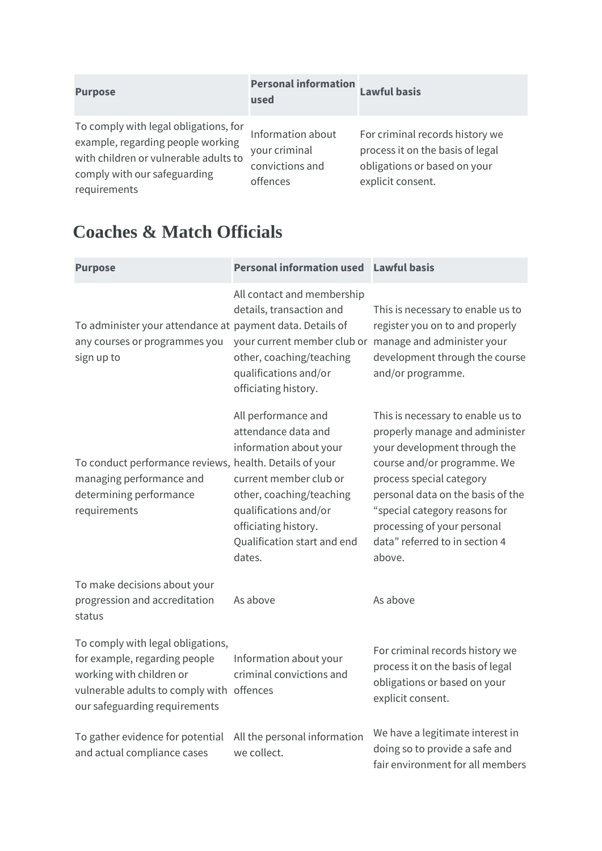| <b>Purpose</b>                                                                                                                                                      | <b>Personal information</b><br>used                               | <b>Lawful basis</b>                                                                                                      |
|---------------------------------------------------------------------------------------------------------------------------------------------------------------------|-------------------------------------------------------------------|--------------------------------------------------------------------------------------------------------------------------|
| To comply with legal obligations, for<br>example, regarding people working<br>with children or vulnerable adults to<br>comply with our safeguarding<br>requirements | Information about<br>your criminal<br>convictions and<br>offences | For criminal records history we<br>process it on the basis of legal<br>obligations or based on your<br>explicit consent. |

### **Coaches & Match Officials**

| <b>Purpose</b>                                                                                                                                                               | Personal information used Lawful basis                                                                                                                                                                               |                                                                                                                                                                                                                                                                                                                 |
|------------------------------------------------------------------------------------------------------------------------------------------------------------------------------|----------------------------------------------------------------------------------------------------------------------------------------------------------------------------------------------------------------------|-----------------------------------------------------------------------------------------------------------------------------------------------------------------------------------------------------------------------------------------------------------------------------------------------------------------|
| To administer your attendance at payment data. Details of<br>any courses or programmes you<br>sign up to                                                                     | All contact and membership<br>details, transaction and<br>your current member club or manage and administer your<br>other, coaching/teaching<br>qualifications and/or<br>officiating history.                        | This is necessary to enable us to<br>register you on to and properly<br>development through the course<br>and/or programme.                                                                                                                                                                                     |
| To conduct performance reviews, health. Details of your<br>managing performance and<br>determining performance<br>requirements                                               | All performance and<br>attendance data and<br>information about your<br>current member club or<br>other, coaching/teaching<br>qualifications and/or<br>officiating history.<br>Qualification start and end<br>dates. | This is necessary to enable us to<br>properly manage and administer<br>your development through the<br>course and/or programme. We<br>process special category<br>personal data on the basis of the<br>"special category reasons for<br>processing of your personal<br>data" referred to in section 4<br>above. |
| To make decisions about your<br>progression and accreditation<br>status                                                                                                      | As above                                                                                                                                                                                                             | As above                                                                                                                                                                                                                                                                                                        |
| To comply with legal obligations,<br>for example, regarding people<br>working with children or<br>vulnerable adults to comply with offences<br>our safeguarding requirements | Information about your<br>criminal convictions and                                                                                                                                                                   | For criminal records history we<br>process it on the basis of legal<br>obligations or based on your<br>explicit consent.                                                                                                                                                                                        |
| To gather evidence for potential<br>and actual compliance cases                                                                                                              | All the personal information<br>we collect.                                                                                                                                                                          | We have a legitimate interest in<br>doing so to provide a safe and<br>fair environment for all members                                                                                                                                                                                                          |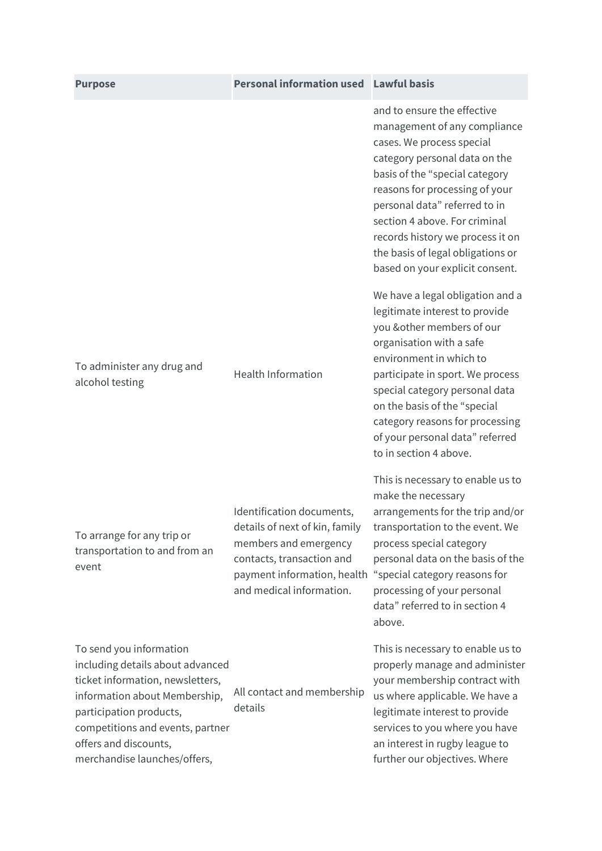| <b>Purpose</b>                                                                                                                                                                                                                                           | Personal information used Lawful basis                                                                                                                                       |                                                                                                                                                                                                                                                                                                                                                                             |
|----------------------------------------------------------------------------------------------------------------------------------------------------------------------------------------------------------------------------------------------------------|------------------------------------------------------------------------------------------------------------------------------------------------------------------------------|-----------------------------------------------------------------------------------------------------------------------------------------------------------------------------------------------------------------------------------------------------------------------------------------------------------------------------------------------------------------------------|
|                                                                                                                                                                                                                                                          |                                                                                                                                                                              | and to ensure the effective<br>management of any compliance<br>cases. We process special<br>category personal data on the<br>basis of the "special category<br>reasons for processing of your<br>personal data" referred to in<br>section 4 above. For criminal<br>records history we process it on<br>the basis of legal obligations or<br>based on your explicit consent. |
| To administer any drug and<br>alcohol testing                                                                                                                                                                                                            | <b>Health Information</b>                                                                                                                                                    | We have a legal obligation and a<br>legitimate interest to provide<br>you & other members of our<br>organisation with a safe<br>environment in which to<br>participate in sport. We process<br>special category personal data<br>on the basis of the "special<br>category reasons for processing<br>of your personal data" referred<br>to in section 4 above.               |
| To arrange for any trip or<br>transportation to and from an<br>event                                                                                                                                                                                     | Identification documents,<br>details of next of kin, family<br>members and emergency<br>contacts, transaction and<br>payment information, health<br>and medical information. | This is necessary to enable us to<br>make the necessary<br>arrangements for the trip and/or<br>transportation to the event. We<br>process special category<br>personal data on the basis of the<br>"special category reasons for<br>processing of your personal<br>data" referred to in section 4<br>above.                                                                 |
| To send you information<br>including details about advanced<br>ticket information, newsletters,<br>information about Membership,<br>participation products,<br>competitions and events, partner<br>offers and discounts,<br>merchandise launches/offers, | All contact and membership<br>details                                                                                                                                        | This is necessary to enable us to<br>properly manage and administer<br>your membership contract with<br>us where applicable. We have a<br>legitimate interest to provide<br>services to you where you have<br>an interest in rugby league to<br>further our objectives. Where                                                                                               |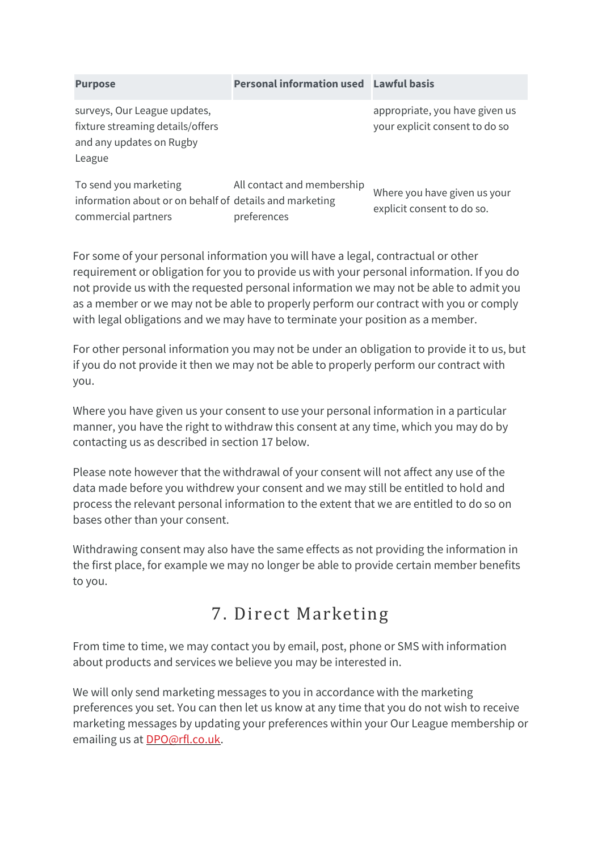| <b>Purpose</b>                                                                                          | <b>Personal information used Lawful basis</b> |                                                                  |
|---------------------------------------------------------------------------------------------------------|-----------------------------------------------|------------------------------------------------------------------|
| surveys, Our League updates,<br>fixture streaming details/offers<br>and any updates on Rugby<br>League  |                                               | appropriate, you have given us<br>your explicit consent to do so |
| To send you marketing<br>information about or on behalf of details and marketing<br>commercial partners | All contact and membership<br>preferences     | Where you have given us your<br>explicit consent to do so.       |

For some of your personal information you will have a legal, contractual or other requirement or obligation for you to provide us with your personal information. If you do not provide us with the requested personal information we may not be able to admit you as a member or we may not be able to properly perform our contract with you or comply with legal obligations and we may have to terminate your position as a member.

For other personal information you may not be under an obligation to provide it to us, but if you do not provide it then we may not be able to properly perform our contract with you.

Where you have given us your consent to use your personal information in a particular manner, you have the right to withdraw this consent at any time, which you may do by contacting us as described in section 17 below.

Please note however that the withdrawal of your consent will not affect any use of the data made before you withdrew your consent and we may still be entitled to hold and process the relevant personal information to the extent that we are entitled to do so on bases other than your consent.

Withdrawing consent may also have the same effects as not providing the information in the first place, for example we may no longer be able to provide certain member benefits to you.

#### 7. Direct Marketing

From time to time, we may contact you by email, post, phone or SMS with information about products and services we believe you may be interested in.

We will only send marketing messages to you in accordance with the marketing preferences you set. You can then let us know at any time that you do not wish to receive marketing messages by updating your preferences within your Our League membership or emailing us at [DPO@rfl.co.uk.](mailto:DPO@rfl.co.uk)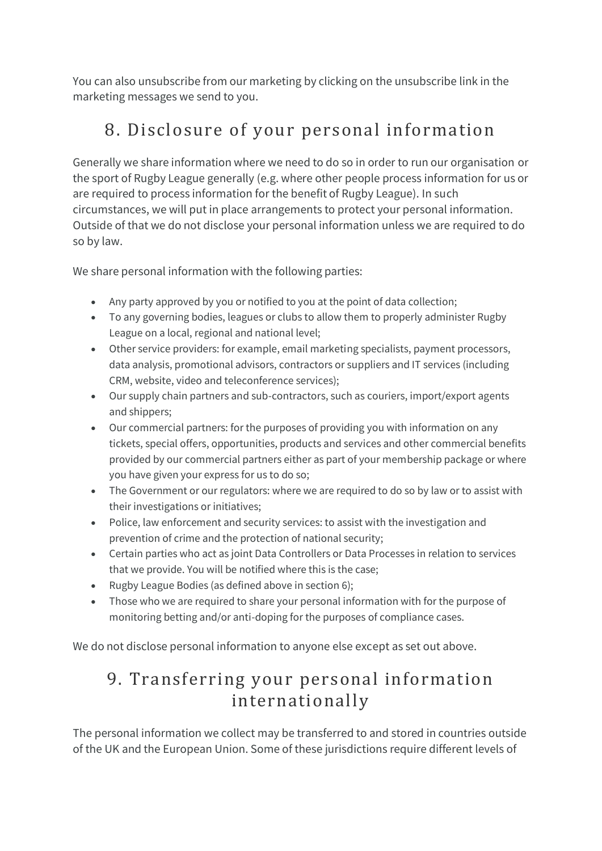You can also unsubscribe from our marketing by clicking on the unsubscribe link in the marketing messages we send to you.

# 8. Disclosure of your personal information

Generally we share information where we need to do so in order to run our organisation or the sport of Rugby League generally (e.g. where other people process information for us or are required to process information for the benefit of Rugby League). In such circumstances, we will put in place arrangements to protect your personal information. Outside of that we do not disclose your personal information unless we are required to do so by law.

We share personal information with the following parties:

- Any party approved by you or notified to you at the point of data collection;
- To any governing bodies, leagues or clubs to allow them to properly administer Rugby League on a local, regional and national level;
- Other service providers: for example, email marketing specialists, payment processors, data analysis, promotional advisors, contractors or suppliers and IT services (including CRM, website, video and teleconference services);
- Our supply chain partners and sub-contractors, such as couriers, import/export agents and shippers;
- Our commercial partners: for the purposes of providing you with information on any tickets, special offers, opportunities, products and services and other commercial benefits provided by our commercial partners either as part of your membership package or where you have given your express for us to do so;
- The Government or our regulators: where we are required to do so by law or to assist with their investigations or initiatives;
- Police, law enforcement and security services: to assist with the investigation and prevention of crime and the protection of national security;
- Certain parties who act as joint Data Controllers or Data Processes in relation to services that we provide. You will be notified where this is the case;
- Rugby League Bodies (as defined above in section 6);
- Those who we are required to share your personal information with for the purpose of monitoring betting and/or anti-doping for the purposes of compliance cases.

We do not disclose personal information to anyone else except as set out above.

### 9. Transferring your personal information internationally

The personal information we collect may be transferred to and stored in countries outside of the UK and the European Union. Some of these jurisdictions require different levels of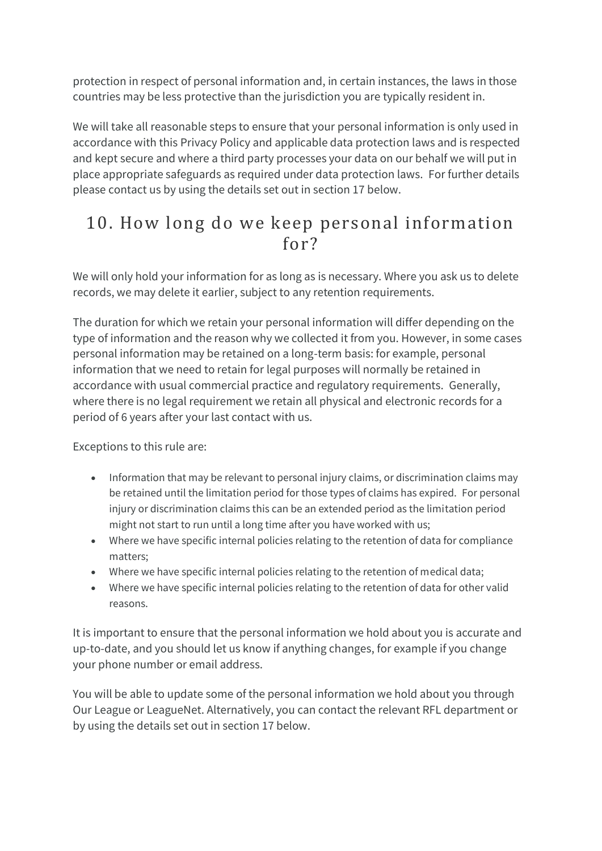protection in respect of personal information and, in certain instances, the laws in those countries may be less protective than the jurisdiction you are typically resident in.

We will take all reasonable steps to ensure that your personal information is only used in accordance with this Privacy Policy and applicable data protection laws and is respected and kept secure and where a third party processes your data on our behalf we will put in place appropriate safeguards as required under data protection laws. For further details please contact us by using the details set out in section 17 below.

#### 10. How long do we keep personal information for?

We will only hold your information for as long as is necessary. Where you ask us to delete records, we may delete it earlier, subject to any retention requirements.

The duration for which we retain your personal information will differ depending on the type of information and the reason why we collected it from you. However, in some cases personal information may be retained on a long-term basis: for example, personal information that we need to retain for legal purposes will normally be retained in accordance with usual commercial practice and regulatory requirements. Generally, where there is no legal requirement we retain all physical and electronic records for a period of 6 years after your last contact with us.

Exceptions to this rule are:

- Information that may be relevant to personal injury claims, or discrimination claims may be retained until the limitation period for those types of claims has expired. For personal injury or discrimination claims this can be an extended period as the limitation period might not start to run until a long time after you have worked with us;
- Where we have specific internal policies relating to the retention of data for compliance matters;
- Where we have specific internal policies relating to the retention of medical data;
- Where we have specific internal policies relating to the retention of data for other valid reasons.

It is important to ensure that the personal information we hold about you is accurate and up-to-date, and you should let us know if anything changes, for example if you change your phone number or email address.

You will be able to update some of the personal information we hold about you through Our League or LeagueNet. Alternatively, you can contact the relevant RFL department or by using the details set out in section 17 below.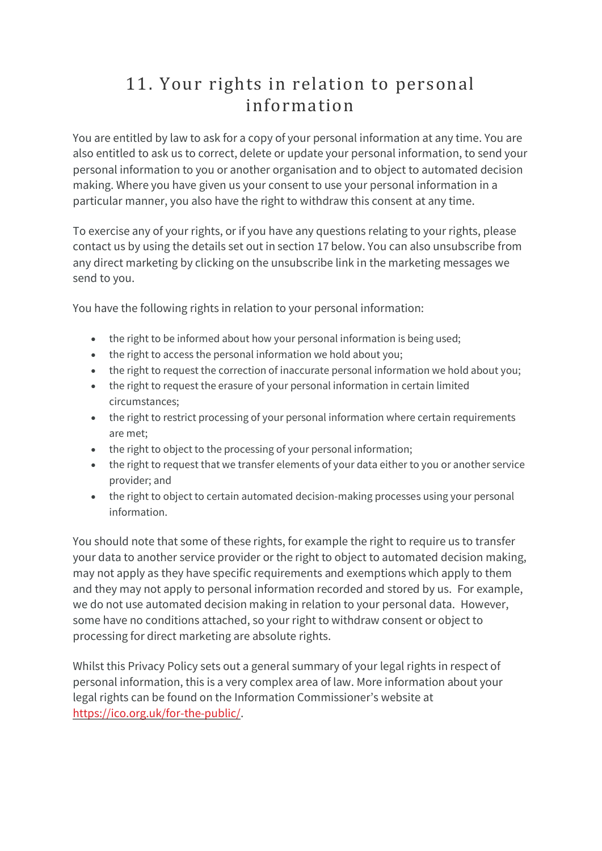#### 11. Your rights in relation to personal information

You are entitled by law to ask for a copy of your personal information at any time. You are also entitled to ask us to correct, delete or update your personal information, to send your personal information to you or another organisation and to object to automated decision making. Where you have given us your consent to use your personal information in a particular manner, you also have the right to withdraw this consent at any time.

To exercise any of your rights, or if you have any questions relating to your rights, please contact us by using the details set out in section 17 below. You can also unsubscribe from any direct marketing by clicking on the unsubscribe link in the marketing messages we send to you.

You have the following rights in relation to your personal information:

- the right to be informed about how your personal information is being used;
- the right to access the personal information we hold about you;
- the right to request the correction of inaccurate personal information we hold about you;
- the right to request the erasure of your personal information in certain limited circumstances;
- the right to restrict processing of your personal information where certain requirements are met;
- the right to object to the processing of your personal information;
- the right to request that we transfer elements of your data either to you or another service provider; and
- the right to object to certain automated decision-making processes using your personal information.

You should note that some of these rights, for example the right to require us to transfer your data to another service provider or the right to object to automated decision making, may not apply as they have specific requirements and exemptions which apply to them and they may not apply to personal information recorded and stored by us. For example, we do not use automated decision making in relation to your personal data. However, some have no conditions attached, so your right to withdraw consent or object to processing for direct marketing are absolute rights.

Whilst this Privacy Policy sets out a general summary of your legal rights in respect of personal information, this is a very complex area of law. More information about your legal rights can be found on the Information Commissioner's website at [https://ico.org.uk/for-the-public/.](https://ico.org.uk/for-the-public/)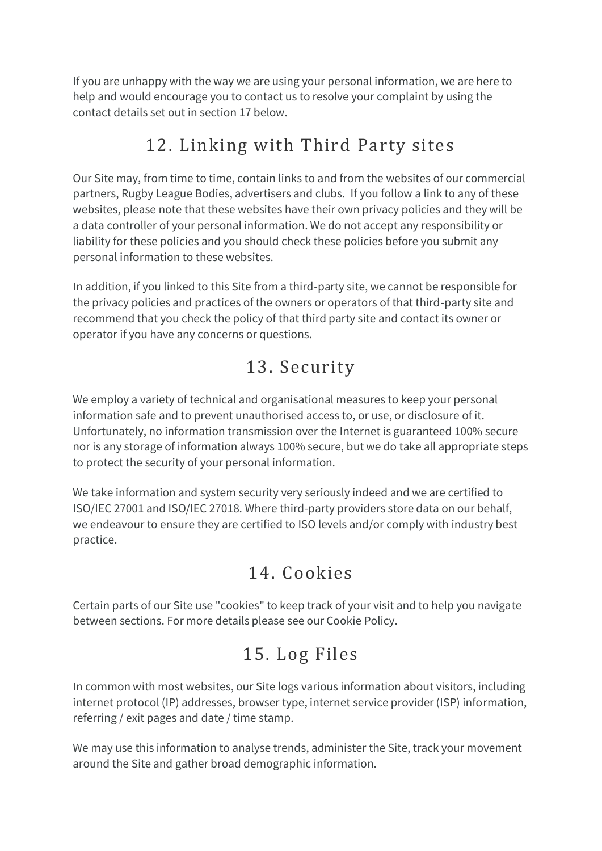If you are unhappy with the way we are using your personal information, we are here to help and would encourage you to contact us to resolve your complaint by using the contact details set out in section 17 below.

## 12. Linking with Third Party sites

Our Site may, from time to time, contain links to and from the websites of our commercial partners, Rugby League Bodies, advertisers and clubs. If you follow a link to any of these websites, please note that these websites have their own privacy policies and they will be a data controller of your personal information. We do not accept any responsibility or liability for these policies and you should check these policies before you submit any personal information to these websites.

In addition, if you linked to this Site from a third-party site, we cannot be responsible for the privacy policies and practices of the owners or operators of that third-party site and recommend that you check the policy of that third party site and contact its owner or operator if you have any concerns or questions.

### 13. Security

We employ a variety of technical and organisational measures to keep your personal information safe and to prevent unauthorised access to, or use, or disclosure of it. Unfortunately, no information transmission over the Internet is guaranteed 100% secure nor is any storage of information always 100% secure, but we do take all appropriate steps to protect the security of your personal information.

We take information and system security very seriously indeed and we are certified to ISO/IEC 27001 and ISO/IEC 27018. Where third-party providers store data on our behalf, we endeavour to ensure they are certified to ISO levels and/or comply with industry best practice.

# 14. Cookies

Certain parts of our Site use "cookies" to keep track of your visit and to help you navigate between sections. For more details please see our Cookie Policy.

# 15. Log Files

In common with most websites, our Site logs various information about visitors, including internet protocol (IP) addresses, browser type, internet service provider (ISP) information, referring / exit pages and date / time stamp.

We may use this information to analyse trends, administer the Site, track your movement around the Site and gather broad demographic information.